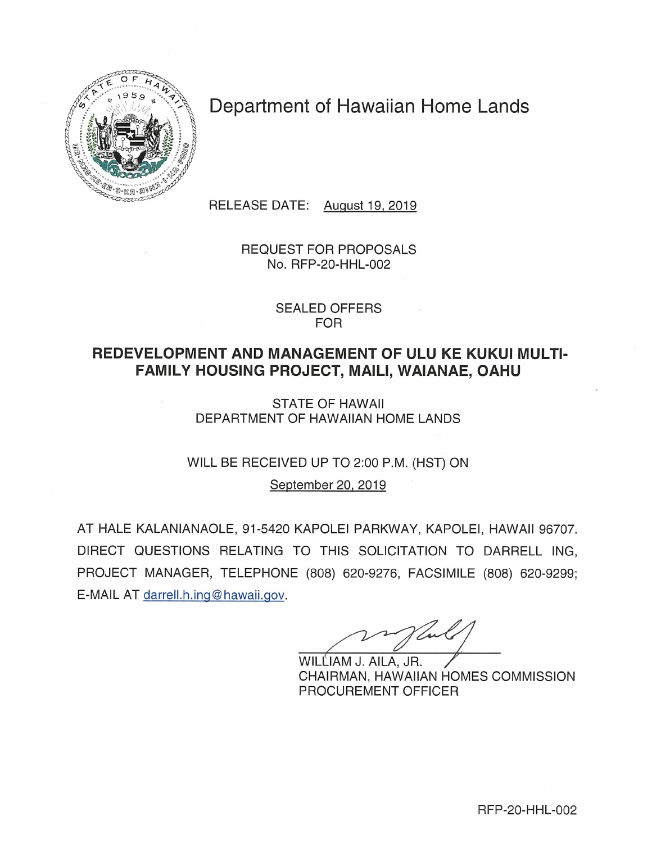

# Department of Hawaiian Home Lands

RELEASE DATE: August 19, 2019

**REQUEST FOR PROPOSALS** No. RFP-20-HHL-002

> **SEALED OFFERS FOR**

# REDEVELOPMENT AND MANAGEMENT OF ULU KE KUKUI MULTI-FAMILY HOUSING PROJECT, MAILI, WAIANAE, OAHU

**STATE OF HAWAII** DEPARTMENT OF HAWAIIAN HOME LANDS

WILL BE RECEIVED UP TO 2:00 P.M. (HST) ON

September 20, 2019

AT HALE KALANIANAOLE, 91-5420 KAPOLEI PARKWAY, KAPOLEI, HAWAII 96707. DIRECT QUESTIONS RELATING TO THIS SOLICITATION TO DARRELL ING. PROJECT MANAGER, TELEPHONE (808) 620-9276, FACSIMILE (808) 620-9299; E-MAIL AT darrell.h.ing@hawaii.gov.

WILLIAM J. AILA, JR. CHAIRMAN, HAWAIIAN HOMES COMMISSION PROCUREMENT OFFICER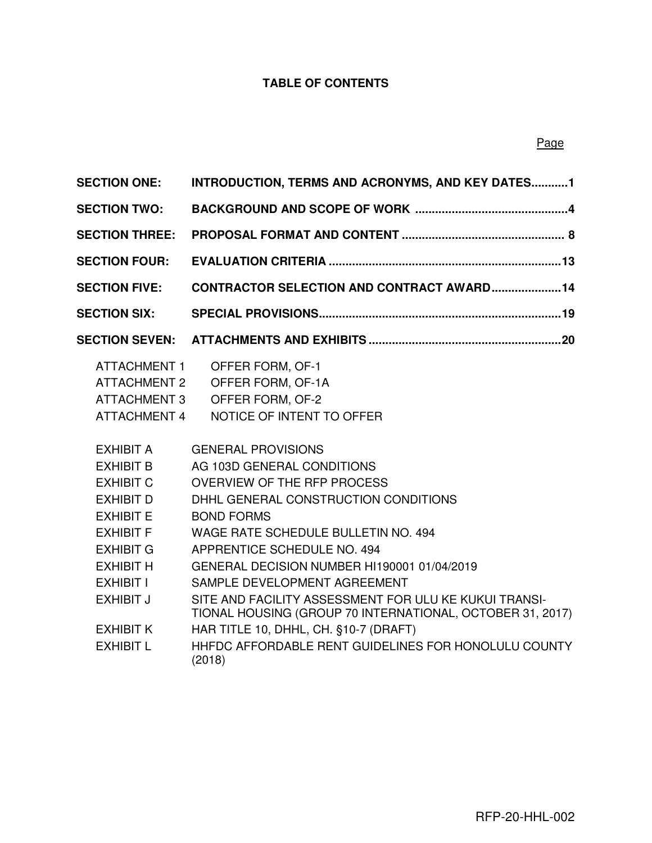### **TABLE OF CONTENTS**

| <b>SECTION ONE:</b>                                                                      | INTRODUCTION, TERMS AND ACRONYMS, AND KEY DATES1                                                                   |
|------------------------------------------------------------------------------------------|--------------------------------------------------------------------------------------------------------------------|
| <b>SECTION TWO:</b>                                                                      |                                                                                                                    |
| <b>SECTION THREE:</b>                                                                    |                                                                                                                    |
| <b>SECTION FOUR:</b>                                                                     |                                                                                                                    |
| <b>SECTION FIVE:</b>                                                                     | <b>CONTRACTOR SELECTION AND CONTRACT AWARD 14</b>                                                                  |
| <b>SECTION SIX:</b>                                                                      |                                                                                                                    |
| <b>SECTION SEVEN:</b>                                                                    |                                                                                                                    |
| <b>ATTACHMENT 1</b><br><b>ATTACHMENT 2</b><br><b>ATTACHMENT 3</b><br><b>ATTACHMENT 4</b> | OFFER FORM, OF-1<br>OFFER FORM, OF-1A<br>OFFER FORM, OF-2<br>NOTICE OF INTENT TO OFFER                             |
| <b>EXHIBIT A</b>                                                                         | <b>GENERAL PROVISIONS</b>                                                                                          |
| <b>EXHIBIT B</b>                                                                         | AG 103D GENERAL CONDITIONS                                                                                         |
| <b>EXHIBIT C</b>                                                                         | <b>OVERVIEW OF THE RFP PROCESS</b>                                                                                 |
| <b>EXHIBIT D</b>                                                                         | DHHL GENERAL CONSTRUCTION CONDITIONS                                                                               |
| <b>EXHIBIT E</b>                                                                         | <b>BOND FORMS</b>                                                                                                  |
| <b>EXHIBIT F</b>                                                                         | WAGE RATE SCHEDULE BULLETIN NO. 494                                                                                |
| <b>EXHIBIT G</b>                                                                         | APPRENTICE SCHEDULE NO. 494                                                                                        |
| <b>EXHIBIT H</b>                                                                         | GENERAL DECISION NUMBER HI190001 01/04/2019                                                                        |
| EXHIBIT I                                                                                | SAMPLE DEVELOPMENT AGREEMENT                                                                                       |
| <b>EXHIBIT J</b>                                                                         | SITE AND FACILITY ASSESSMENT FOR ULU KE KUKUI TRANSI-<br>TIONAL HOUSING (GROUP 70 INTERNATIONAL, OCTOBER 31, 2017) |
| <b>EXHIBIT K</b>                                                                         | HAR TITLE 10, DHHL, CH. §10-7 (DRAFT)                                                                              |
| <b>EXHIBIT L</b>                                                                         | HHFDC AFFORDABLE RENT GUIDELINES FOR HONOLULU COUNTY<br>(2018)                                                     |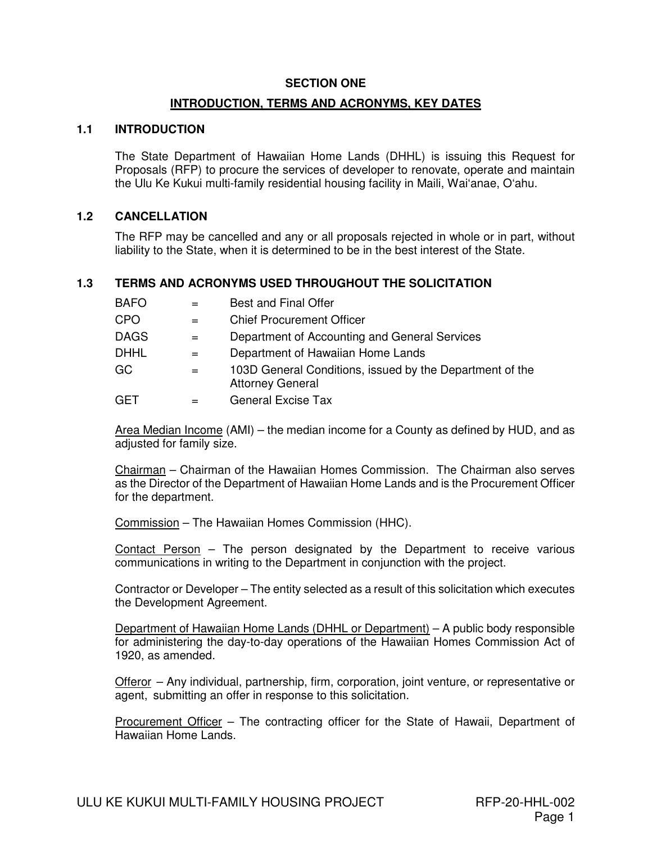#### **SECTION ONE**

#### **INTRODUCTION, TERMS AND ACRONYMS, KEY DATES**

### **1.1 INTRODUCTION**

The State Department of Hawaiian Home Lands (DHHL) is issuing this Request for Proposals (RFP) to procure the services of developer to renovate, operate and maintain the Ulu Ke Kukui multi-family residential housing facility in Maili, Wai'anae, O'ahu.

### **1.2 CANCELLATION**

The RFP may be cancelled and any or all proposals rejected in whole or in part, without liability to the State, when it is determined to be in the best interest of the State.

### **1.3 TERMS AND ACRONYMS USED THROUGHOUT THE SOLICITATION**

| <b>BAFO</b> |     | <b>Best and Final Offer</b>                                                         |
|-------------|-----|-------------------------------------------------------------------------------------|
| CPO         | $=$ | <b>Chief Procurement Officer</b>                                                    |
| <b>DAGS</b> | $=$ | Department of Accounting and General Services                                       |
| <b>DHHL</b> | $=$ | Department of Hawaiian Home Lands                                                   |
| GC          | $=$ | 103D General Conditions, issued by the Department of the<br><b>Attorney General</b> |
| GET         | $=$ | <b>General Excise Tax</b>                                                           |

Area Median Income (AMI) – the median income for a County as defined by HUD, and as adjusted for family size.

Chairman – Chairman of the Hawaiian Homes Commission. The Chairman also serves as the Director of the Department of Hawaiian Home Lands and is the Procurement Officer for the department.

Commission – The Hawaiian Homes Commission (HHC).

Contact Person – The person designated by the Department to receive various communications in writing to the Department in conjunction with the project.

Contractor or Developer – The entity selected as a result of this solicitation which executes the Development Agreement.

Department of Hawaiian Home Lands (DHHL or Department) – A public body responsible for administering the day-to-day operations of the Hawaiian Homes Commission Act of 1920, as amended.

Offeror – Any individual, partnership, firm, corporation, joint venture, or representative or agent, submitting an offer in response to this solicitation.

Procurement Officer – The contracting officer for the State of Hawaii, Department of Hawaiian Home Lands.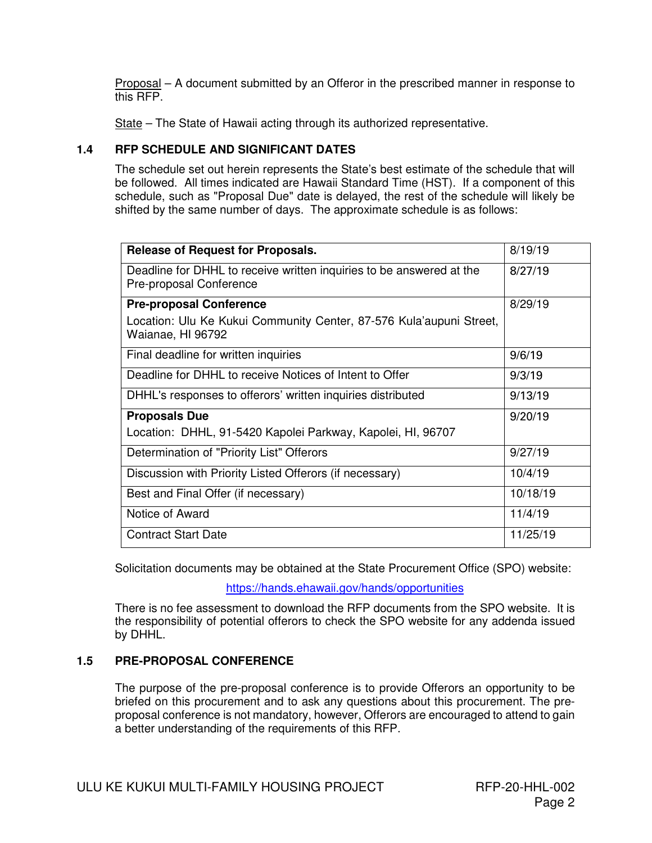Proposal – A document submitted by an Offeror in the prescribed manner in response to this RFP.

State – The State of Hawaii acting through its authorized representative.

### **1.4 RFP SCHEDULE AND SIGNIFICANT DATES**

The schedule set out herein represents the State's best estimate of the schedule that will be followed. All times indicated are Hawaii Standard Time (HST). If a component of this schedule, such as "Proposal Due" date is delayed, the rest of the schedule will likely be shifted by the same number of days. The approximate schedule is as follows:

| <b>Release of Request for Proposals.</b>                                                        | 8/19/19  |
|-------------------------------------------------------------------------------------------------|----------|
| Deadline for DHHL to receive written inquiries to be answered at the<br>Pre-proposal Conference | 8/27/19  |
| <b>Pre-proposal Conference</b>                                                                  | 8/29/19  |
| Location: Ulu Ke Kukui Community Center, 87-576 Kula'aupuni Street,<br>Waianae, HI 96792        |          |
| Final deadline for written inquiries                                                            | 9/6/19   |
| Deadline for DHHL to receive Notices of Intent to Offer                                         | 9/3/19   |
| DHHL's responses to offerors' written inquiries distributed                                     | 9/13/19  |
| <b>Proposals Due</b>                                                                            | 9/20/19  |
| Location: DHHL, 91-5420 Kapolei Parkway, Kapolei, HI, 96707                                     |          |
| Determination of "Priority List" Offerors                                                       | 9/27/19  |
| Discussion with Priority Listed Offerors (if necessary)                                         | 10/4/19  |
| Best and Final Offer (if necessary)                                                             | 10/18/19 |
| Notice of Award                                                                                 | 11/4/19  |
| <b>Contract Start Date</b>                                                                      | 11/25/19 |

Solicitation documents may be obtained at the State Procurement Office (SPO) website:

https://hands.ehawaii.gov/hands/opportunities

There is no fee assessment to download the RFP documents from the SPO website. It is the responsibility of potential offerors to check the SPO website for any addenda issued by DHHL.

### **1.5 PRE-PROPOSAL CONFERENCE**

The purpose of the pre-proposal conference is to provide Offerors an opportunity to be briefed on this procurement and to ask any questions about this procurement. The preproposal conference is not mandatory, however, Offerors are encouraged to attend to gain a better understanding of the requirements of this RFP.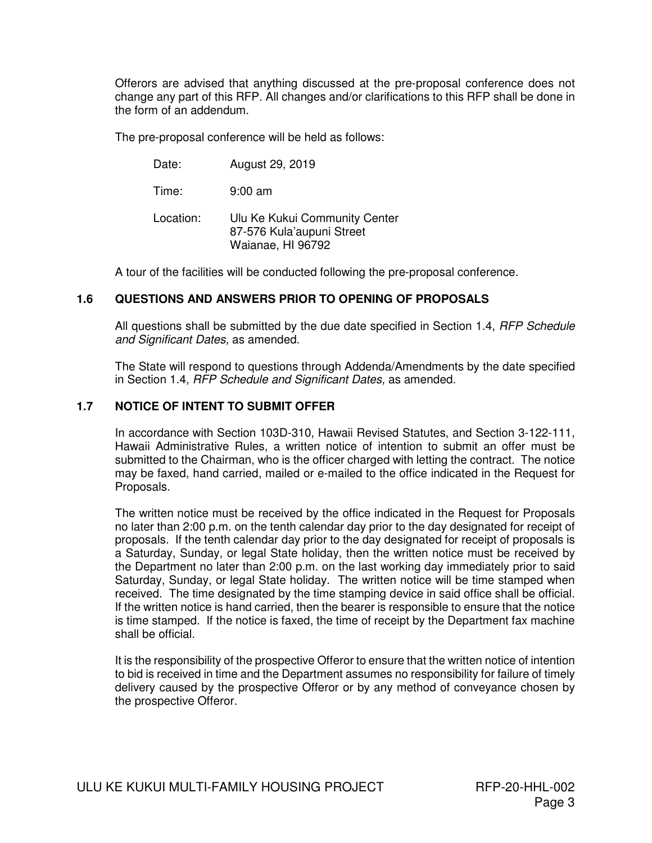Offerors are advised that anything discussed at the pre-proposal conference does not change any part of this RFP. All changes and/or clarifications to this RFP shall be done in the form of an addendum.

The pre-proposal conference will be held as follows:

| Date: | August 29, 2019 |
|-------|-----------------|
|-------|-----------------|

Time: 9:00 am

Location: Ulu Ke Kukui Community Center 87-576 Kula'aupuni Street Waianae, HI 96792

A tour of the facilities will be conducted following the pre-proposal conference.

### **1.6 QUESTIONS AND ANSWERS PRIOR TO OPENING OF PROPOSALS**

All questions shall be submitted by the due date specified in Section 1.4, *RFP Schedule* and Significant Dates, as amended.

The State will respond to questions through Addenda/Amendments by the date specified in Section 1.4, RFP Schedule and Significant Dates, as amended.

### **1.7 NOTICE OF INTENT TO SUBMIT OFFER**

In accordance with Section 103D-310, Hawaii Revised Statutes, and Section 3-122-111, Hawaii Administrative Rules, a written notice of intention to submit an offer must be submitted to the Chairman, who is the officer charged with letting the contract. The notice may be faxed, hand carried, mailed or e-mailed to the office indicated in the Request for Proposals.

The written notice must be received by the office indicated in the Request for Proposals no later than 2:00 p.m. on the tenth calendar day prior to the day designated for receipt of proposals. If the tenth calendar day prior to the day designated for receipt of proposals is a Saturday, Sunday, or legal State holiday, then the written notice must be received by the Department no later than 2:00 p.m. on the last working day immediately prior to said Saturday, Sunday, or legal State holiday. The written notice will be time stamped when received. The time designated by the time stamping device in said office shall be official. If the written notice is hand carried, then the bearer is responsible to ensure that the notice is time stamped. If the notice is faxed, the time of receipt by the Department fax machine shall be official.

It is the responsibility of the prospective Offeror to ensure that the written notice of intention to bid is received in time and the Department assumes no responsibility for failure of timely delivery caused by the prospective Offeror or by any method of conveyance chosen by the prospective Offeror.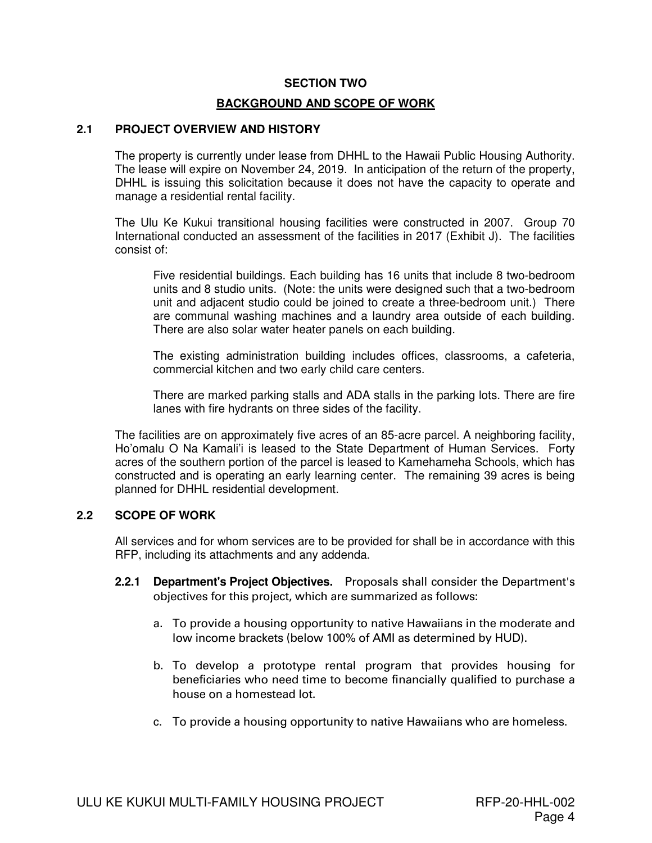#### **SECTION TWO**

#### **BACKGROUND AND SCOPE OF WORK**

#### **2.1 PROJECT OVERVIEW AND HISTORY**

The property is currently under lease from DHHL to the Hawaii Public Housing Authority. The lease will expire on November 24, 2019. In anticipation of the return of the property, DHHL is issuing this solicitation because it does not have the capacity to operate and manage a residential rental facility.

The Ulu Ke Kukui transitional housing facilities were constructed in 2007. Group 70 International conducted an assessment of the facilities in 2017 (Exhibit J). The facilities consist of:

Five residential buildings. Each building has 16 units that include 8 two-bedroom units and 8 studio units. (Note: the units were designed such that a two-bedroom unit and adjacent studio could be joined to create a three-bedroom unit.) There are communal washing machines and a laundry area outside of each building. There are also solar water heater panels on each building.

The existing administration building includes offices, classrooms, a cafeteria, commercial kitchen and two early child care centers.

There are marked parking stalls and ADA stalls in the parking lots. There are fire lanes with fire hydrants on three sides of the facility.

The facilities are on approximately five acres of an 85-acre parcel. A neighboring facility, Ho'omalu O Na Kamali'i is leased to the State Department of Human Services. Forty acres of the southern portion of the parcel is leased to Kamehameha Schools, which has constructed and is operating an early learning center. The remaining 39 acres is being planned for DHHL residential development.

### **2.2 SCOPE OF WORK**

All services and for whom services are to be provided for shall be in accordance with this RFP, including its attachments and any addenda.

- **2.2.1 Department's Project Objectives.** Proposals shall consider the Department's objectives for this project, which are summarized as follows:
	- a. To provide a housing opportunity to native Hawaiians in the moderate and low income brackets (below 100% of AMI as determined by HUD).
	- b. To develop a prototype rental program that provides housing for beneficiaries who need time to become financially qualified to purchase a house on a homestead lot.
	- c. To provide a housing opportunity to native Hawaiians who are homeless.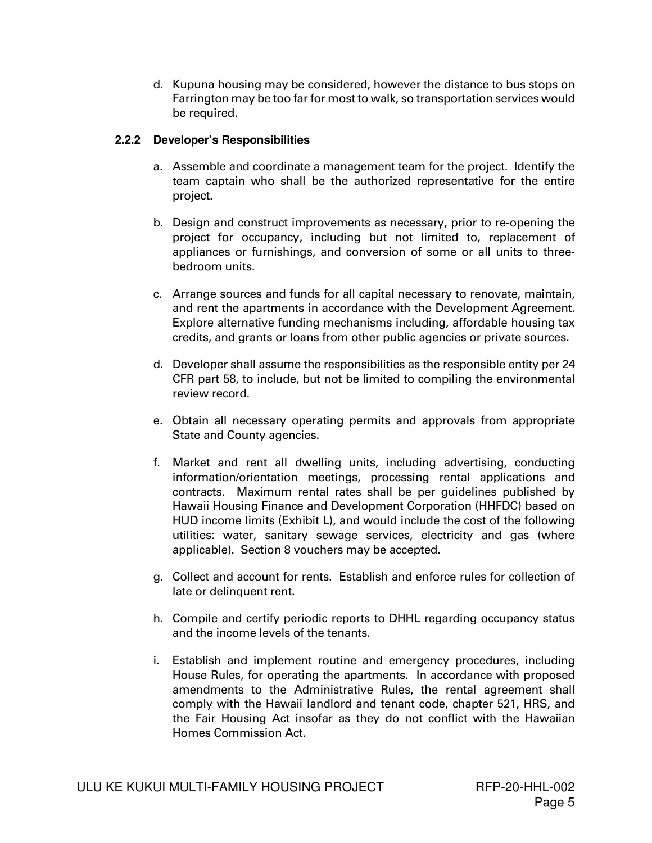d. Kupuna housing may be considered, however the distance to bus stops on Farrington may be too far for most to walk, so transportation services would be required.

### **2.2.2 Developer's Responsibilities**

- a. Assemble and coordinate a management team for the project. Identify the team captain who shall be the authorized representative for the entire project.
- b. Design and construct improvements as necessary, prior to re-opening the project for occupancy, including but not limited to, replacement of appliances or furnishings, and conversion of some or all units to threebedroom units.
- c. Arrange sources and funds for all capital necessary to renovate, maintain, and rent the apartments in accordance with the Development Agreement. Explore alternative funding mechanisms including, affordable housing tax credits, and grants or loans from other public agencies or private sources.
- d. Developer shall assume the responsibilities as the responsible entity per 24 CFR part 58, to include, but not be limited to compiling the environmental review record.
- e. Obtain all necessary operating permits and approvals from appropriate State and County agencies.
- f. Market and rent all dwelling units, including advertising, conducting information/orientation meetings, processing rental applications and contracts. Maximum rental rates shall be per guidelines published by Hawaii Housing Finance and Development Corporation (HHFDC) based on HUD income limits (Exhibit L), and would include the cost of the following utilities: water, sanitary sewage services, electricity and gas (where applicable). Section 8 vouchers may be accepted.
- g. Collect and account for rents. Establish and enforce rules for collection of late or delinquent rent.
- h. Compile and certify periodic reports to DHHL regarding occupancy status and the income levels of the tenants.
- i. Establish and implement routine and emergency procedures, including House Rules, for operating the apartments. In accordance with proposed amendments to the Administrative Rules, the rental agreement shall comply with the Hawaii landlord and tenant code, chapter 521, HRS, and the Fair Housing Act insofar as they do not conflict with the Hawaiian Homes Commission Act.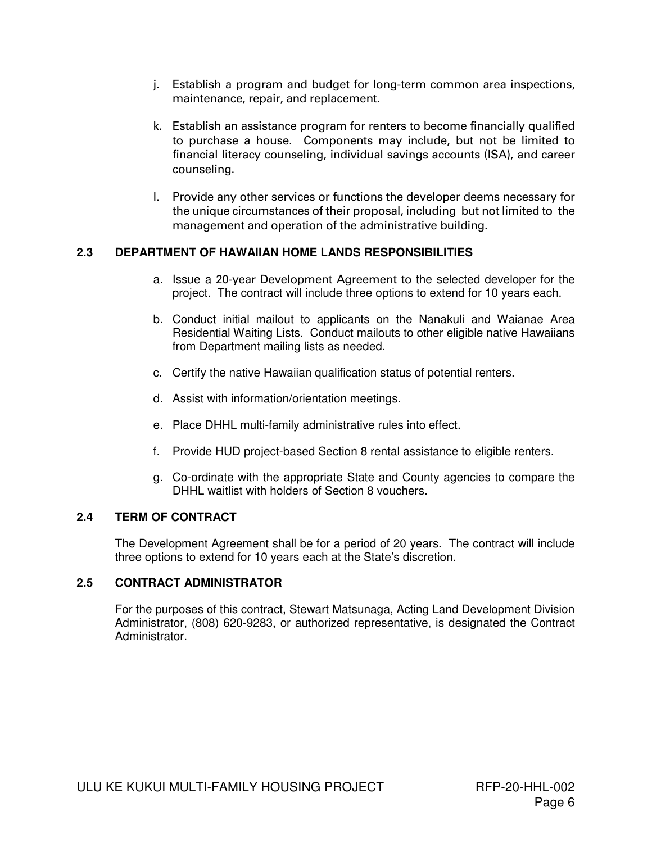- j. Establish a program and budget for long-term common area inspections, maintenance, repair, and replacement.
- k. Establish an assistance program for renters to become financially qualified to purchase a house. Components may include, but not be limited to financial literacy counseling, individual savings accounts (ISA), and career counseling.
- l. Provide any other services or functions the developer deems necessary for the unique circumstances of their proposal, including but not limited to the management and operation of the administrative building.

### **2.3 DEPARTMENT OF HAWAIIAN HOME LANDS RESPONSIBILITIES**

- a. Issue a 20-year Development Agreement to the selected developer for the project. The contract will include three options to extend for 10 years each.
- b. Conduct initial mailout to applicants on the Nanakuli and Waianae Area Residential Waiting Lists. Conduct mailouts to other eligible native Hawaiians from Department mailing lists as needed.
- c. Certify the native Hawaiian qualification status of potential renters.
- d. Assist with information/orientation meetings.
- e. Place DHHL multi-family administrative rules into effect.
- f. Provide HUD project-based Section 8 rental assistance to eligible renters.
- g. Co-ordinate with the appropriate State and County agencies to compare the DHHL waitlist with holders of Section 8 vouchers.

### **2.4 TERM OF CONTRACT**

The Development Agreement shall be for a period of 20 years. The contract will include three options to extend for 10 years each at the State's discretion.

### **2.5 CONTRACT ADMINISTRATOR**

For the purposes of this contract, Stewart Matsunaga, Acting Land Development Division Administrator, (808) 620-9283, or authorized representative, is designated the Contract Administrator.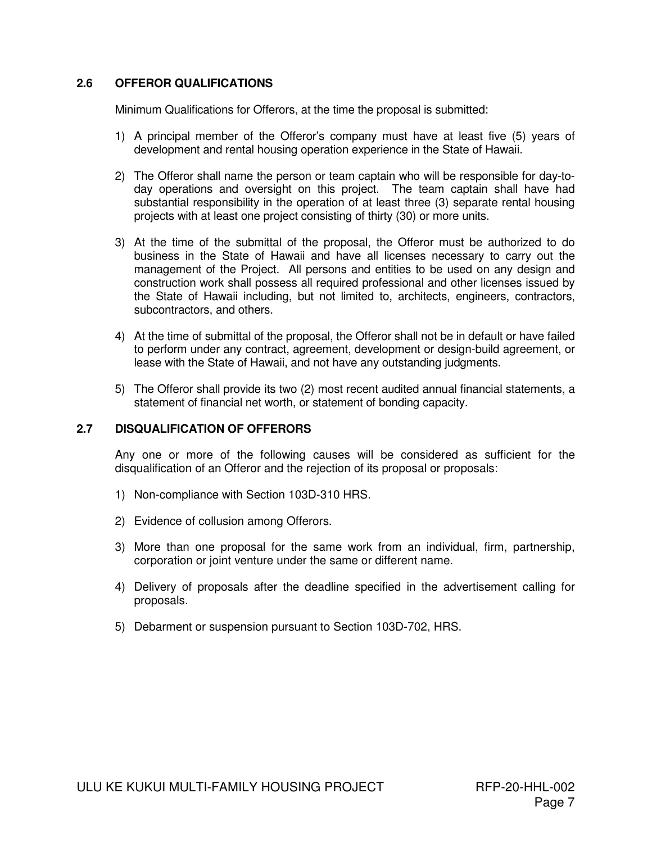### **2.6 OFFEROR QUALIFICATIONS**

Minimum Qualifications for Offerors, at the time the proposal is submitted:

- 1) A principal member of the Offeror's company must have at least five (5) years of development and rental housing operation experience in the State of Hawaii.
- 2) The Offeror shall name the person or team captain who will be responsible for day-today operations and oversight on this project. The team captain shall have had substantial responsibility in the operation of at least three (3) separate rental housing projects with at least one project consisting of thirty (30) or more units.
- 3) At the time of the submittal of the proposal, the Offeror must be authorized to do business in the State of Hawaii and have all licenses necessary to carry out the management of the Project. All persons and entities to be used on any design and construction work shall possess all required professional and other licenses issued by the State of Hawaii including, but not limited to, architects, engineers, contractors, subcontractors, and others.
- 4) At the time of submittal of the proposal, the Offeror shall not be in default or have failed to perform under any contract, agreement, development or design-build agreement, or lease with the State of Hawaii, and not have any outstanding judgments.
- 5) The Offeror shall provide its two (2) most recent audited annual financial statements, a statement of financial net worth, or statement of bonding capacity.

### **2.7 DISQUALIFICATION OF OFFERORS**

Any one or more of the following causes will be considered as sufficient for the disqualification of an Offeror and the rejection of its proposal or proposals:

- 1) Non-compliance with Section 103D-310 HRS.
- 2) Evidence of collusion among Offerors.
- 3) More than one proposal for the same work from an individual, firm, partnership, corporation or joint venture under the same or different name.
- 4) Delivery of proposals after the deadline specified in the advertisement calling for proposals.
- 5) Debarment or suspension pursuant to Section 103D-702, HRS.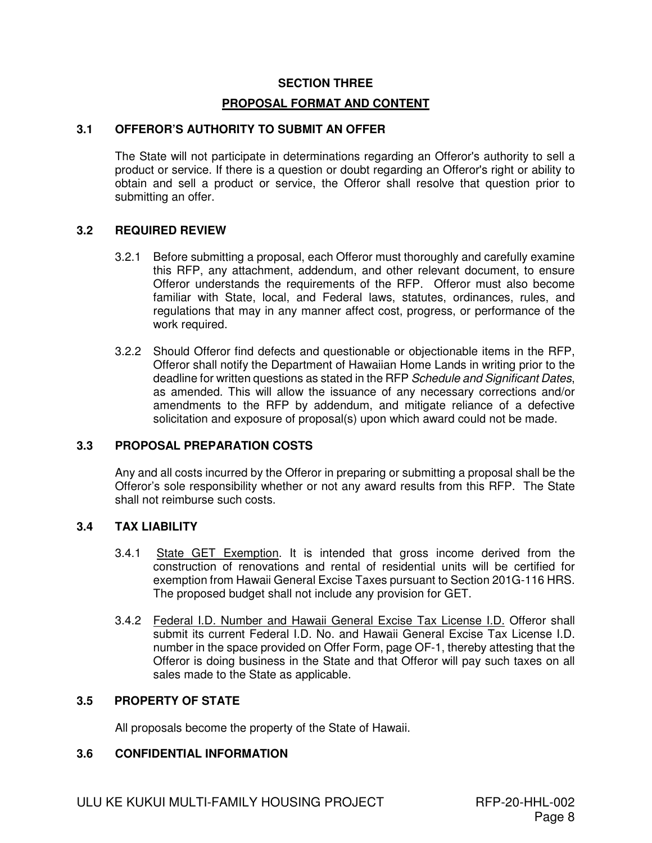#### **SECTION THREE**

#### **PROPOSAL FORMAT AND CONTENT**

### **3.1 OFFEROR'S AUTHORITY TO SUBMIT AN OFFER**

The State will not participate in determinations regarding an Offeror's authority to sell a product or service. If there is a question or doubt regarding an Offeror's right or ability to obtain and sell a product or service, the Offeror shall resolve that question prior to submitting an offer.

#### **3.2 REQUIRED REVIEW**

- 3.2.1 Before submitting a proposal, each Offeror must thoroughly and carefully examine this RFP, any attachment, addendum, and other relevant document, to ensure Offeror understands the requirements of the RFP. Offeror must also become familiar with State, local, and Federal laws, statutes, ordinances, rules, and regulations that may in any manner affect cost, progress, or performance of the work required.
- 3.2.2 Should Offeror find defects and questionable or objectionable items in the RFP, Offeror shall notify the Department of Hawaiian Home Lands in writing prior to the deadline for written questions as stated in the RFP Schedule and Significant Dates, as amended. This will allow the issuance of any necessary corrections and/or amendments to the RFP by addendum, and mitigate reliance of a defective solicitation and exposure of proposal(s) upon which award could not be made.

### **3.3 PROPOSAL PREPARATION COSTS**

Any and all costs incurred by the Offeror in preparing or submitting a proposal shall be the Offeror's sole responsibility whether or not any award results from this RFP. The State shall not reimburse such costs.

### **3.4 TAX LIABILITY**

- 3.4.1 State GET Exemption. It is intended that gross income derived from the construction of renovations and rental of residential units will be certified for exemption from Hawaii General Excise Taxes pursuant to Section 201G-116 HRS. The proposed budget shall not include any provision for GET.
- 3.4.2 Federal I.D. Number and Hawaii General Excise Tax License I.D. Offeror shall submit its current Federal I.D. No. and Hawaii General Excise Tax License I.D. number in the space provided on Offer Form, page OF-1, thereby attesting that the Offeror is doing business in the State and that Offeror will pay such taxes on all sales made to the State as applicable.

#### **3.5 PROPERTY OF STATE**

All proposals become the property of the State of Hawaii.

#### **3.6 CONFIDENTIAL INFORMATION**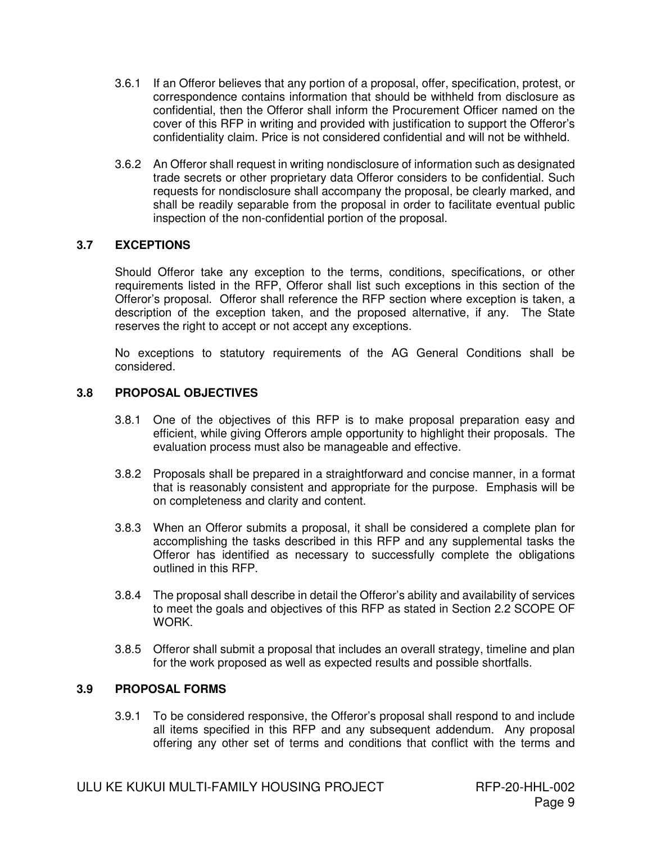- 3.6.1 If an Offeror believes that any portion of a proposal, offer, specification, protest, or correspondence contains information that should be withheld from disclosure as confidential, then the Offeror shall inform the Procurement Officer named on the cover of this RFP in writing and provided with justification to support the Offeror's confidentiality claim. Price is not considered confidential and will not be withheld.
- 3.6.2 An Offeror shall request in writing nondisclosure of information such as designated trade secrets or other proprietary data Offeror considers to be confidential. Such requests for nondisclosure shall accompany the proposal, be clearly marked, and shall be readily separable from the proposal in order to facilitate eventual public inspection of the non-confidential portion of the proposal.

### **3.7 EXCEPTIONS**

Should Offeror take any exception to the terms, conditions, specifications, or other requirements listed in the RFP, Offeror shall list such exceptions in this section of the Offeror's proposal. Offeror shall reference the RFP section where exception is taken, a description of the exception taken, and the proposed alternative, if any. The State reserves the right to accept or not accept any exceptions.

No exceptions to statutory requirements of the AG General Conditions shall be considered.

### **3.8 PROPOSAL OBJECTIVES**

- 3.8.1 One of the objectives of this RFP is to make proposal preparation easy and efficient, while giving Offerors ample opportunity to highlight their proposals. The evaluation process must also be manageable and effective.
- 3.8.2 Proposals shall be prepared in a straightforward and concise manner, in a format that is reasonably consistent and appropriate for the purpose. Emphasis will be on completeness and clarity and content.
- 3.8.3 When an Offeror submits a proposal, it shall be considered a complete plan for accomplishing the tasks described in this RFP and any supplemental tasks the Offeror has identified as necessary to successfully complete the obligations outlined in this RFP.
- 3.8.4 The proposal shall describe in detail the Offeror's ability and availability of services to meet the goals and objectives of this RFP as stated in Section 2.2 SCOPE OF WORK.
- 3.8.5 Offeror shall submit a proposal that includes an overall strategy, timeline and plan for the work proposed as well as expected results and possible shortfalls.

### **3.9 PROPOSAL FORMS**

3.9.1 To be considered responsive, the Offeror's proposal shall respond to and include all items specified in this RFP and any subsequent addendum. Any proposal offering any other set of terms and conditions that conflict with the terms and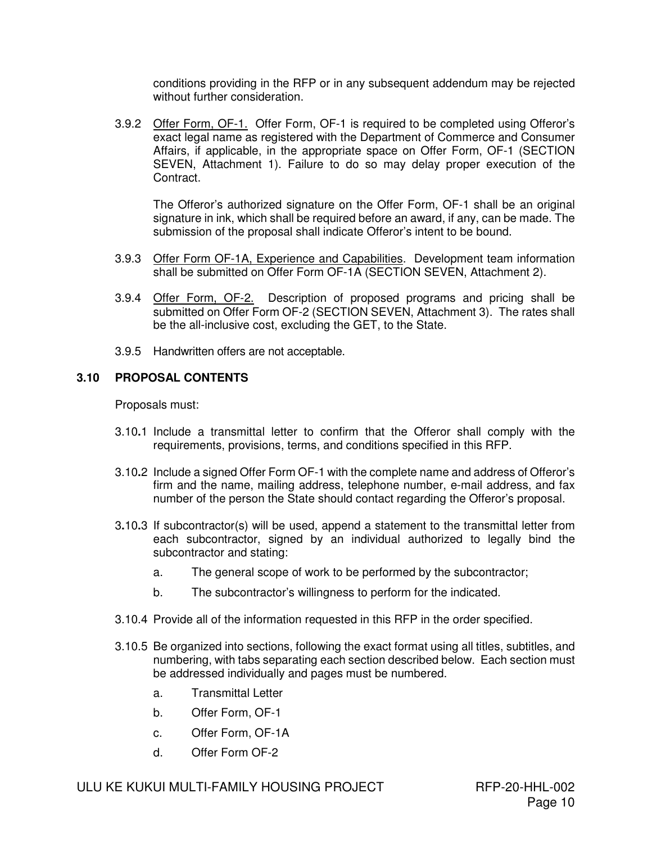conditions providing in the RFP or in any subsequent addendum may be rejected without further consideration.

3.9.2 Offer Form, OF-1. Offer Form, OF-1 is required to be completed using Offeror's exact legal name as registered with the Department of Commerce and Consumer Affairs, if applicable, in the appropriate space on Offer Form, OF-1 (SECTION SEVEN, Attachment 1). Failure to do so may delay proper execution of the Contract.

The Offeror's authorized signature on the Offer Form, OF-1 shall be an original signature in ink, which shall be required before an award, if any, can be made. The submission of the proposal shall indicate Offeror's intent to be bound.

- 3.9.3 Offer Form OF-1A, Experience and Capabilities. Development team information shall be submitted on Offer Form OF-1A (SECTION SEVEN, Attachment 2).
- 3.9.4 Offer Form, OF-2. Description of proposed programs and pricing shall be submitted on Offer Form OF-2 (SECTION SEVEN, Attachment 3). The rates shall be the all-inclusive cost, excluding the GET, to the State.
- 3.9.5 Handwritten offers are not acceptable.

### **3.10 PROPOSAL CONTENTS**

Proposals must:

- 3.10**.**1 Include a transmittal letter to confirm that the Offeror shall comply with the requirements, provisions, terms, and conditions specified in this RFP.
- 3.10**.**2 Include a signed Offer Form OF-1 with the complete name and address of Offeror's firm and the name, mailing address, telephone number, e-mail address, and fax number of the person the State should contact regarding the Offeror's proposal.
- 3**.**10**.**3 If subcontractor(s) will be used, append a statement to the transmittal letter from each subcontractor, signed by an individual authorized to legally bind the subcontractor and stating:
	- a. The general scope of work to be performed by the subcontractor;
	- b. The subcontractor's willingness to perform for the indicated.
- 3.10.4 Provide all of the information requested in this RFP in the order specified.
- 3.10.5 Be organized into sections, following the exact format using all titles, subtitles, and numbering, with tabs separating each section described below. Each section must be addressed individually and pages must be numbered.
	- a. Transmittal Letter
	- b. Offer Form, OF-1
	- c. Offer Form, OF-1A
	- d. Offer Form OF-2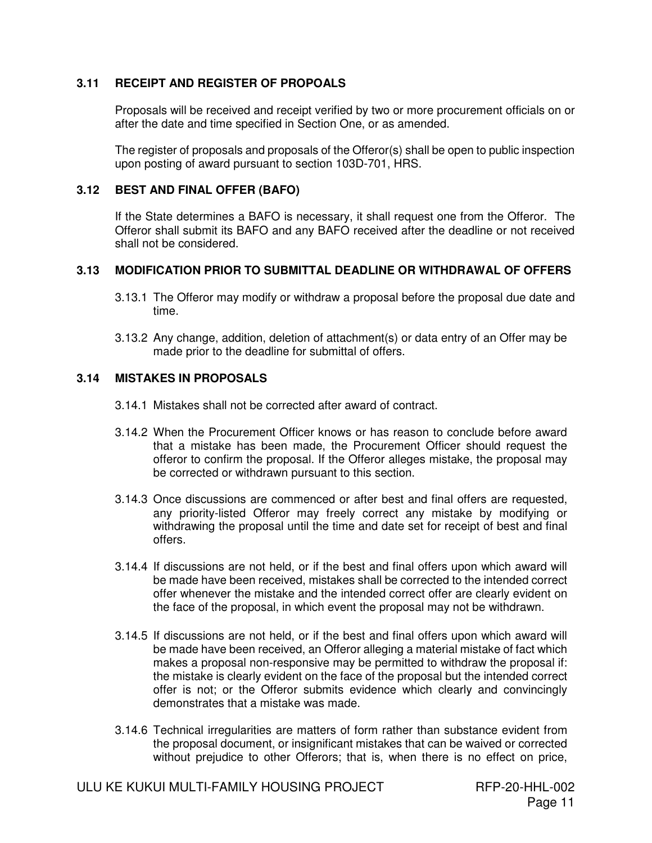### **3.11 RECEIPT AND REGISTER OF PROPOALS**

Proposals will be received and receipt verified by two or more procurement officials on or after the date and time specified in Section One, or as amended.

The register of proposals and proposals of the Offeror(s) shall be open to public inspection upon posting of award pursuant to section 103D-701, HRS.

### **3.12 BEST AND FINAL OFFER (BAFO)**

 If the State determines a BAFO is necessary, it shall request one from the Offeror. The Offeror shall submit its BAFO and any BAFO received after the deadline or not received shall not be considered.

### **3.13 MODIFICATION PRIOR TO SUBMITTAL DEADLINE OR WITHDRAWAL OF OFFERS**

- 3.13.1 The Offeror may modify or withdraw a proposal before the proposal due date and time.
- 3.13.2 Any change, addition, deletion of attachment(s) or data entry of an Offer may be made prior to the deadline for submittal of offers.

### **3.14 MISTAKES IN PROPOSALS**

- 3.14.1 Mistakes shall not be corrected after award of contract.
- 3.14.2 When the Procurement Officer knows or has reason to conclude before award that a mistake has been made, the Procurement Officer should request the offeror to confirm the proposal. If the Offeror alleges mistake, the proposal may be corrected or withdrawn pursuant to this section.
- 3.14.3 Once discussions are commenced or after best and final offers are requested, any priority-listed Offeror may freely correct any mistake by modifying or withdrawing the proposal until the time and date set for receipt of best and final offers.
- 3.14.4 If discussions are not held, or if the best and final offers upon which award will be made have been received, mistakes shall be corrected to the intended correct offer whenever the mistake and the intended correct offer are clearly evident on the face of the proposal, in which event the proposal may not be withdrawn.
- 3.14.5 If discussions are not held, or if the best and final offers upon which award will be made have been received, an Offeror alleging a material mistake of fact which makes a proposal non-responsive may be permitted to withdraw the proposal if: the mistake is clearly evident on the face of the proposal but the intended correct offer is not; or the Offeror submits evidence which clearly and convincingly demonstrates that a mistake was made.
- 3.14.6 Technical irregularities are matters of form rather than substance evident from the proposal document, or insignificant mistakes that can be waived or corrected without prejudice to other Offerors; that is, when there is no effect on price,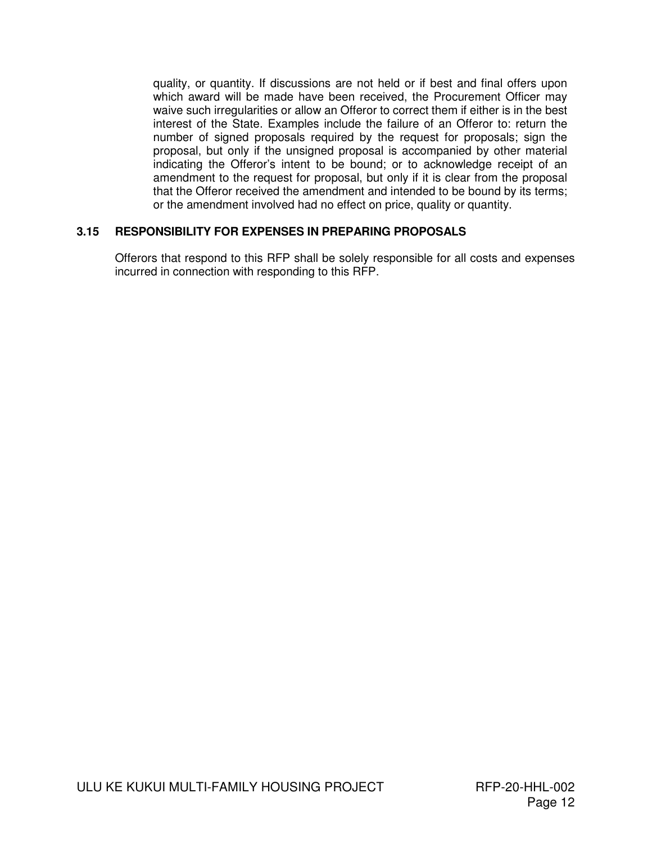quality, or quantity. If discussions are not held or if best and final offers upon which award will be made have been received, the Procurement Officer may waive such irregularities or allow an Offeror to correct them if either is in the best interest of the State. Examples include the failure of an Offeror to: return the number of signed proposals required by the request for proposals; sign the proposal, but only if the unsigned proposal is accompanied by other material indicating the Offeror's intent to be bound; or to acknowledge receipt of an amendment to the request for proposal, but only if it is clear from the proposal that the Offeror received the amendment and intended to be bound by its terms; or the amendment involved had no effect on price, quality or quantity.

### **3.15 RESPONSIBILITY FOR EXPENSES IN PREPARING PROPOSALS**

Offerors that respond to this RFP shall be solely responsible for all costs and expenses incurred in connection with responding to this RFP.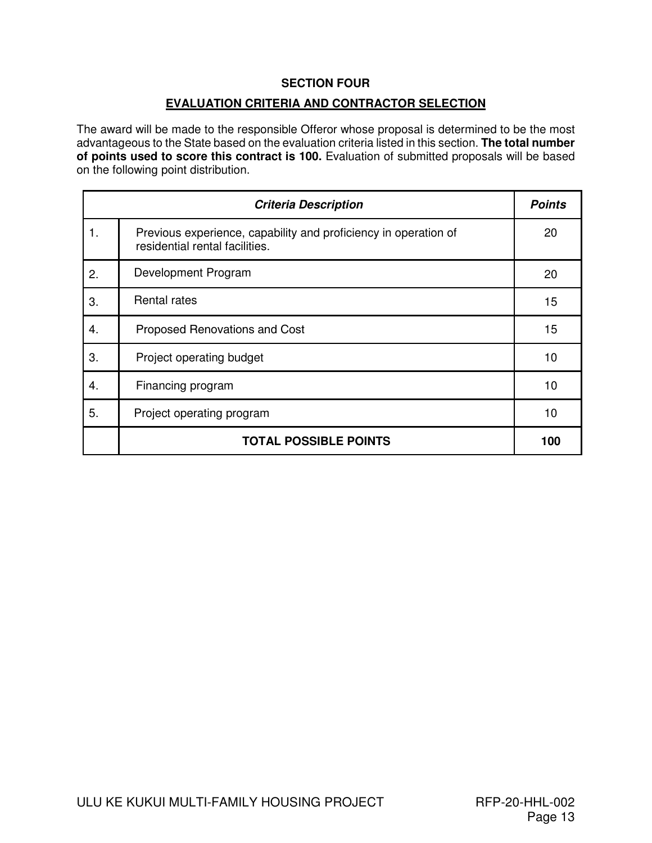### **SECTION FOUR**

### **EVALUATION CRITERIA AND CONTRACTOR SELECTION**

The award will be made to the responsible Offeror whose proposal is determined to be the most advantageous to the State based on the evaluation criteria listed in this section. **The total number of points used to score this contract is 100.** Evaluation of submitted proposals will be based on the following point distribution.

|    | <b>Criteria Description</b>                                                                       | <b>Points</b> |
|----|---------------------------------------------------------------------------------------------------|---------------|
| 1. | Previous experience, capability and proficiency in operation of<br>residential rental facilities. | 20            |
| 2. | Development Program                                                                               | 20            |
| 3. | <b>Rental rates</b>                                                                               | 15            |
| 4. | Proposed Renovations and Cost                                                                     | 15            |
| 3. | Project operating budget                                                                          | 10            |
| 4. | Financing program                                                                                 | 10            |
| 5. | Project operating program                                                                         | 10            |
|    | <b>TOTAL POSSIBLE POINTS</b>                                                                      | 100           |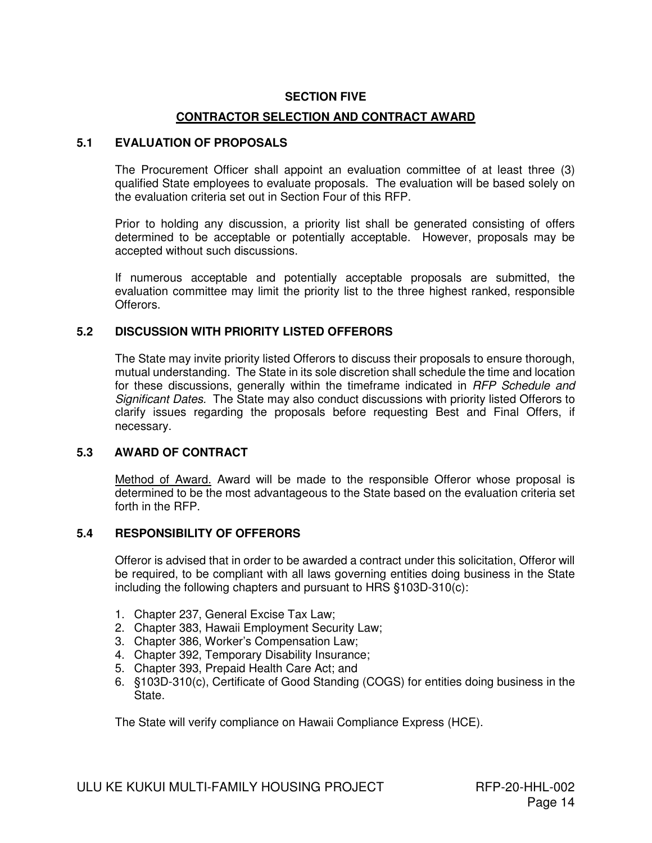#### **SECTION FIVE**

### **CONTRACTOR SELECTION AND CONTRACT AWARD**

### **5.1 EVALUATION OF PROPOSALS**

The Procurement Officer shall appoint an evaluation committee of at least three (3) qualified State employees to evaluate proposals. The evaluation will be based solely on the evaluation criteria set out in Section Four of this RFP.

Prior to holding any discussion, a priority list shall be generated consisting of offers determined to be acceptable or potentially acceptable. However, proposals may be accepted without such discussions.

If numerous acceptable and potentially acceptable proposals are submitted, the evaluation committee may limit the priority list to the three highest ranked, responsible Offerors.

#### **5.2 DISCUSSION WITH PRIORITY LISTED OFFERORS**

The State may invite priority listed Offerors to discuss their proposals to ensure thorough, mutual understanding. The State in its sole discretion shall schedule the time and location for these discussions, generally within the timeframe indicated in RFP Schedule and Significant Dates. The State may also conduct discussions with priority listed Offerors to clarify issues regarding the proposals before requesting Best and Final Offers, if necessary.

#### **5.3 AWARD OF CONTRACT**

Method of Award. Award will be made to the responsible Offeror whose proposal is determined to be the most advantageous to the State based on the evaluation criteria set forth in the RFP.

### **5.4 RESPONSIBILITY OF OFFERORS**

Offeror is advised that in order to be awarded a contract under this solicitation, Offeror will be required, to be compliant with all laws governing entities doing business in the State including the following chapters and pursuant to HRS §103D-310(c):

- 1. Chapter 237, General Excise Tax Law;
- 2. Chapter 383, Hawaii Employment Security Law;
- 3. Chapter 386, Worker's Compensation Law;
- 4. Chapter 392, Temporary Disability Insurance;
- 5. Chapter 393, Prepaid Health Care Act; and
- 6. §103D-310(c), Certificate of Good Standing (COGS) for entities doing business in the State.

The State will verify compliance on Hawaii Compliance Express (HCE).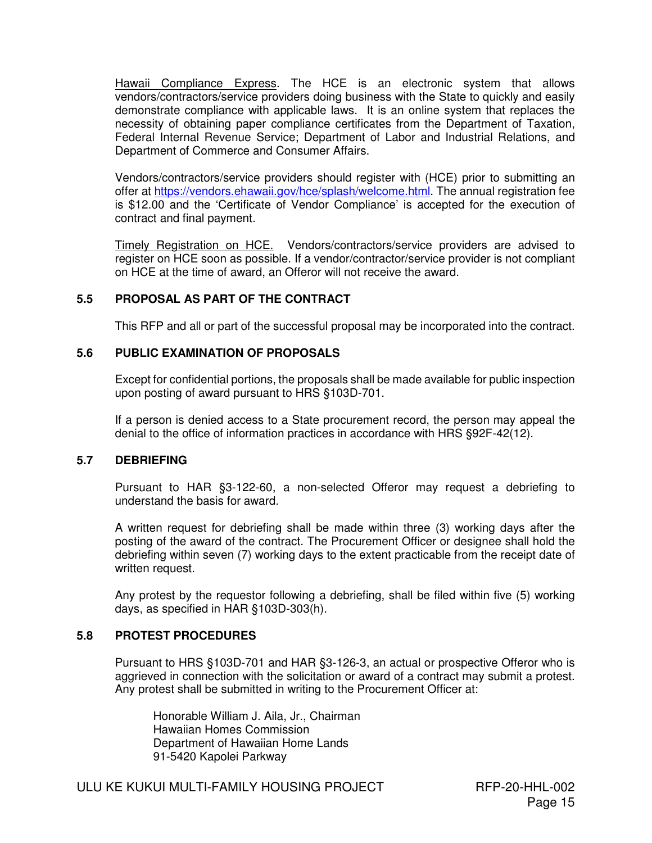Hawaii Compliance Express. The HCE is an electronic system that allows vendors/contractors/service providers doing business with the State to quickly and easily demonstrate compliance with applicable laws. It is an online system that replaces the necessity of obtaining paper compliance certificates from the Department of Taxation, Federal Internal Revenue Service; Department of Labor and Industrial Relations, and Department of Commerce and Consumer Affairs.

Vendors/contractors/service providers should register with (HCE) prior to submitting an offer at https://vendors.ehawaii.gov/hce/splash/welcome.html. The annual registration fee is \$12.00 and the 'Certificate of Vendor Compliance' is accepted for the execution of contract and final payment.

Timely Registration on HCE. Vendors/contractors/service providers are advised to register on HCE soon as possible. If a vendor/contractor/service provider is not compliant on HCE at the time of award, an Offeror will not receive the award.

### **5.5 PROPOSAL AS PART OF THE CONTRACT**

This RFP and all or part of the successful proposal may be incorporated into the contract.

### **5.6 PUBLIC EXAMINATION OF PROPOSALS**

Except for confidential portions, the proposals shall be made available for public inspection upon posting of award pursuant to HRS §103D-701.

If a person is denied access to a State procurement record, the person may appeal the denial to the office of information practices in accordance with HRS §92F-42(12).

### **5.7 DEBRIEFING**

Pursuant to HAR §3-122-60, a non-selected Offeror may request a debriefing to understand the basis for award.

A written request for debriefing shall be made within three (3) working days after the posting of the award of the contract. The Procurement Officer or designee shall hold the debriefing within seven (7) working days to the extent practicable from the receipt date of written request.

Any protest by the requestor following a debriefing, shall be filed within five (5) working days, as specified in HAR §103D-303(h).

### **5.8 PROTEST PROCEDURES**

Pursuant to HRS §103D-701 and HAR §3-126-3, an actual or prospective Offeror who is aggrieved in connection with the solicitation or award of a contract may submit a protest. Any protest shall be submitted in writing to the Procurement Officer at:

Honorable William J. Aila, Jr., Chairman Hawaiian Homes Commission Department of Hawaiian Home Lands 91-5420 Kapolei Parkway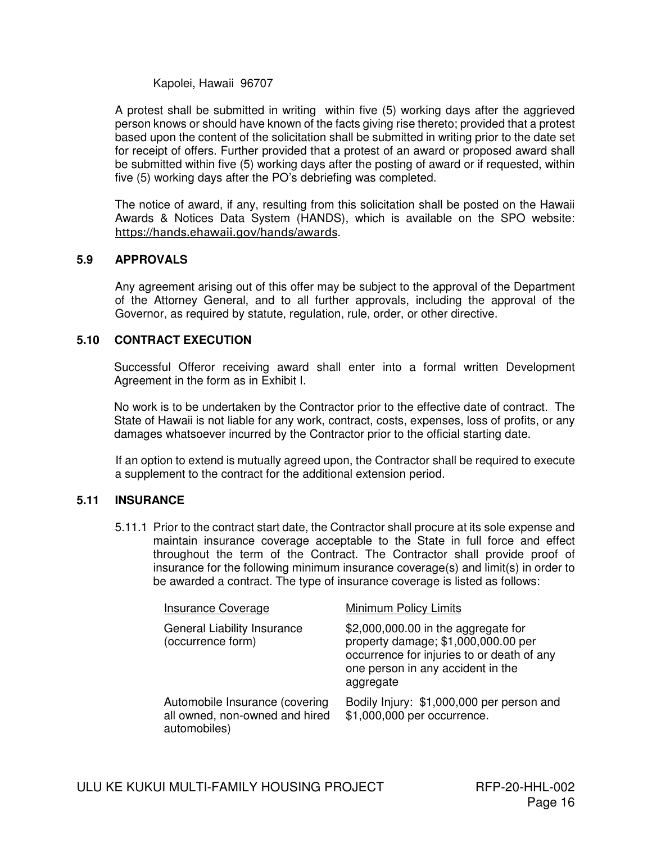Kapolei, Hawaii 96707

A protest shall be submitted in writing within five (5) working days after the aggrieved person knows or should have known of the facts giving rise thereto; provided that a protest based upon the content of the solicitation shall be submitted in writing prior to the date set for receipt of offers. Further provided that a protest of an award or proposed award shall be submitted within five (5) working days after the posting of award or if requested, within five (5) working days after the PO's debriefing was completed.

The notice of award, if any, resulting from this solicitation shall be posted on the Hawaii Awards & Notices Data System (HANDS), which is available on the SPO website: https://hands.ehawaii.gov/hands/awards.

#### **5.9 APPROVALS**

Any agreement arising out of this offer may be subject to the approval of the Department of the Attorney General, and to all further approvals, including the approval of the Governor, as required by statute, regulation, rule, order, or other directive.

#### **5.10 CONTRACT EXECUTION**

 Successful Offeror receiving award shall enter into a formal written Development Agreement in the form as in Exhibit I.

 No work is to be undertaken by the Contractor prior to the effective date of contract. The State of Hawaii is not liable for any work, contract, costs, expenses, loss of profits, or any damages whatsoever incurred by the Contractor prior to the official starting date.

If an option to extend is mutually agreed upon, the Contractor shall be required to execute a supplement to the contract for the additional extension period.

### **5.11 INSURANCE**

5.11.1 Prior to the contract start date, the Contractor shall procure at its sole expense and maintain insurance coverage acceptable to the State in full force and effect throughout the term of the Contract. The Contractor shall provide proof of insurance for the following minimum insurance coverage(s) and limit(s) in order to be awarded a contract. The type of insurance coverage is listed as follows:

| Insurance Coverage                                                               | Minimum Policy Limits                                                                                                                                                      |
|----------------------------------------------------------------------------------|----------------------------------------------------------------------------------------------------------------------------------------------------------------------------|
| General Liability Insurance<br>(occurrence form)                                 | \$2,000,000.00 in the aggregate for<br>property damage; \$1,000,000.00 per<br>occurrence for injuries to or death of any<br>one person in any accident in the<br>aggregate |
| Automobile Insurance (covering<br>all owned, non-owned and hired<br>automobiles) | Bodily Injury: \$1,000,000 per person and<br>\$1,000,000 per occurrence.                                                                                                   |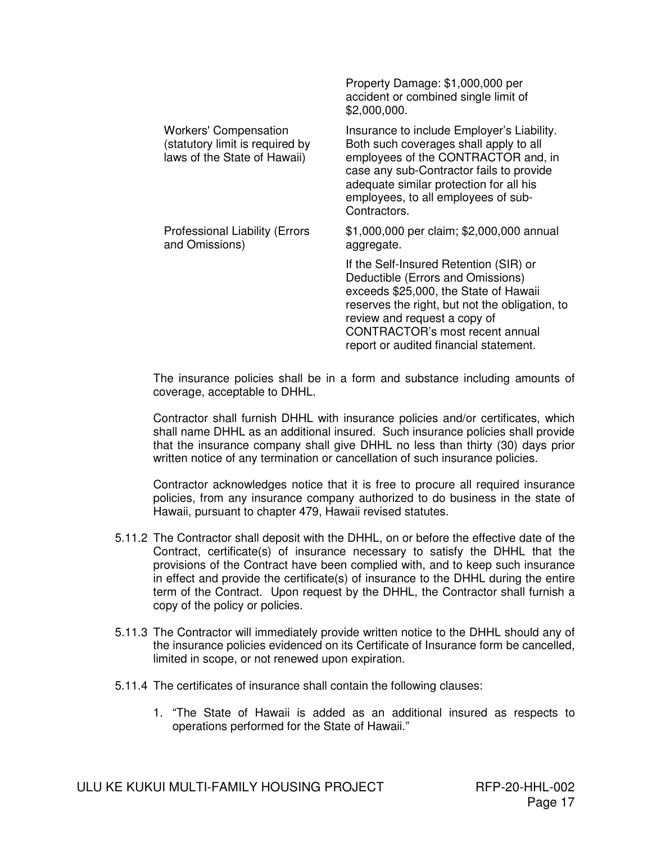|                                                                                                 | Property Damage: \$1,000,000 per<br>accident or combined single limit of<br>\$2,000,000.                                                                                                                                                                                                   |
|-------------------------------------------------------------------------------------------------|--------------------------------------------------------------------------------------------------------------------------------------------------------------------------------------------------------------------------------------------------------------------------------------------|
| <b>Workers' Compensation</b><br>(statutory limit is required by<br>laws of the State of Hawaii) | Insurance to include Employer's Liability.<br>Both such coverages shall apply to all<br>employees of the CONTRACTOR and, in<br>case any sub-Contractor fails to provide<br>adequate similar protection for all his<br>employees, to all employees of sub-<br>Contractors.                  |
| <b>Professional Liability (Errors</b><br>and Omissions)                                         | \$1,000,000 per claim; \$2,000,000 annual<br>aggregate.                                                                                                                                                                                                                                    |
|                                                                                                 | If the Self-Insured Retention (SIR) or<br>Deductible (Errors and Omissions)<br>exceeds \$25,000, the State of Hawaii<br>reserves the right, but not the obligation, to<br>review and request a copy of<br><b>CONTRACTOR's most recent annual</b><br>report or audited financial statement. |

The insurance policies shall be in a form and substance including amounts of coverage, acceptable to DHHL.

Contractor shall furnish DHHL with insurance policies and/or certificates, which shall name DHHL as an additional insured. Such insurance policies shall provide that the insurance company shall give DHHL no less than thirty (30) days prior written notice of any termination or cancellation of such insurance policies.

Contractor acknowledges notice that it is free to procure all required insurance policies, from any insurance company authorized to do business in the state of Hawaii, pursuant to chapter 479, Hawaii revised statutes.

- 5.11.2 The Contractor shall deposit with the DHHL, on or before the effective date of the Contract, certificate(s) of insurance necessary to satisfy the DHHL that the provisions of the Contract have been complied with, and to keep such insurance in effect and provide the certificate(s) of insurance to the DHHL during the entire term of the Contract. Upon request by the DHHL, the Contractor shall furnish a copy of the policy or policies.
- 5.11.3 The Contractor will immediately provide written notice to the DHHL should any of the insurance policies evidenced on its Certificate of Insurance form be cancelled, limited in scope, or not renewed upon expiration.
- 5.11.4 The certificates of insurance shall contain the following clauses:
	- 1. "The State of Hawaii is added as an additional insured as respects to operations performed for the State of Hawaii."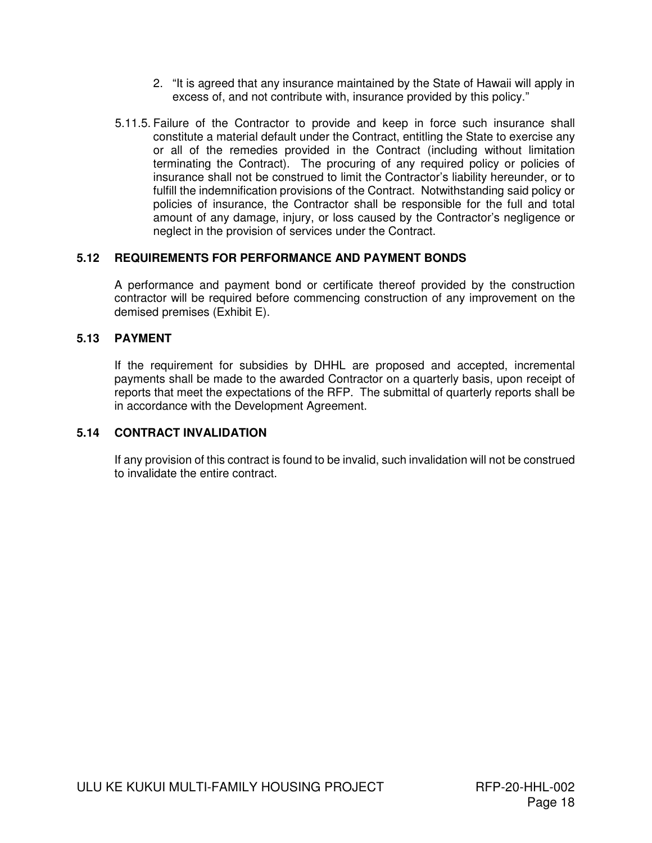- 2. "It is agreed that any insurance maintained by the State of Hawaii will apply in excess of, and not contribute with, insurance provided by this policy."
- 5.11.5. Failure of the Contractor to provide and keep in force such insurance shall constitute a material default under the Contract, entitling the State to exercise any or all of the remedies provided in the Contract (including without limitation terminating the Contract). The procuring of any required policy or policies of insurance shall not be construed to limit the Contractor's liability hereunder, or to fulfill the indemnification provisions of the Contract. Notwithstanding said policy or policies of insurance, the Contractor shall be responsible for the full and total amount of any damage, injury, or loss caused by the Contractor's negligence or neglect in the provision of services under the Contract.

### **5.12 REQUIREMENTS FOR PERFORMANCE AND PAYMENT BONDS**

A performance and payment bond or certificate thereof provided by the construction contractor will be required before commencing construction of any improvement on the demised premises (Exhibit E).

### **5.13 PAYMENT**

If the requirement for subsidies by DHHL are proposed and accepted, incremental payments shall be made to the awarded Contractor on a quarterly basis, upon receipt of reports that meet the expectations of the RFP. The submittal of quarterly reports shall be in accordance with the Development Agreement.

### **5.14 CONTRACT INVALIDATION**

 If any provision of this contract is found to be invalid, such invalidation will not be construed to invalidate the entire contract.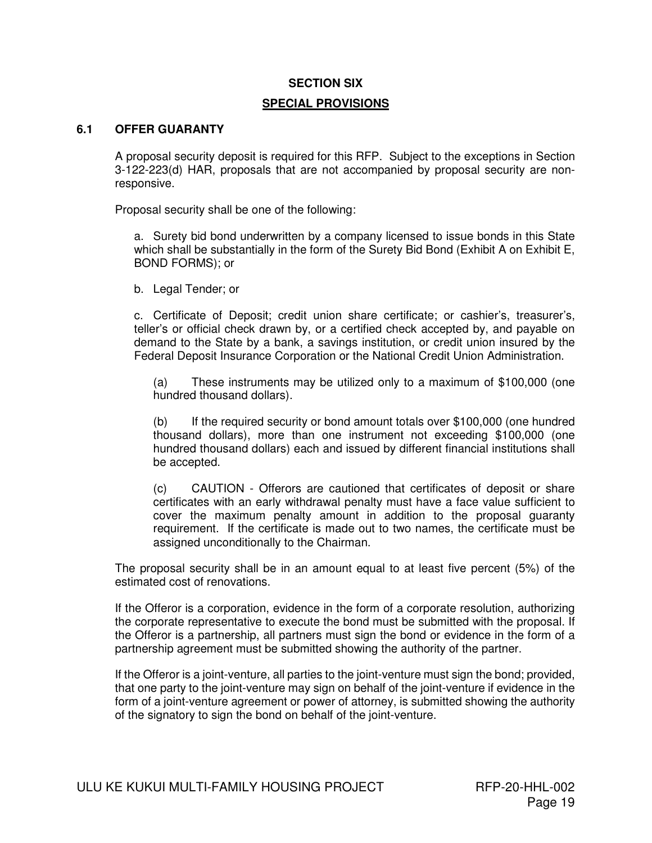#### **SECTION SIX**

#### **SPECIAL PROVISIONS**

#### **6.1 OFFER GUARANTY**

A proposal security deposit is required for this RFP. Subject to the exceptions in Section 3-122-223(d) HAR, proposals that are not accompanied by proposal security are nonresponsive.

Proposal security shall be one of the following:

a. Surety bid bond underwritten by a company licensed to issue bonds in this State which shall be substantially in the form of the Surety Bid Bond (Exhibit A on Exhibit E, BOND FORMS); or

b. Legal Tender; or

c. Certificate of Deposit; credit union share certificate; or cashier's, treasurer's, teller's or official check drawn by, or a certified check accepted by, and payable on demand to the State by a bank, a savings institution, or credit union insured by the Federal Deposit Insurance Corporation or the National Credit Union Administration.

(a) These instruments may be utilized only to a maximum of \$100,000 (one hundred thousand dollars).

(b) If the required security or bond amount totals over \$100,000 (one hundred thousand dollars), more than one instrument not exceeding \$100,000 (one hundred thousand dollars) each and issued by different financial institutions shall be accepted.

(c) CAUTION - Offerors are cautioned that certificates of deposit or share certificates with an early withdrawal penalty must have a face value sufficient to cover the maximum penalty amount in addition to the proposal guaranty requirement. If the certificate is made out to two names, the certificate must be assigned unconditionally to the Chairman.

The proposal security shall be in an amount equal to at least five percent (5%) of the estimated cost of renovations.

If the Offeror is a corporation, evidence in the form of a corporate resolution, authorizing the corporate representative to execute the bond must be submitted with the proposal. If the Offeror is a partnership, all partners must sign the bond or evidence in the form of a partnership agreement must be submitted showing the authority of the partner.

If the Offeror is a joint-venture, all parties to the joint-venture must sign the bond; provided, that one party to the joint-venture may sign on behalf of the joint-venture if evidence in the form of a joint-venture agreement or power of attorney, is submitted showing the authority of the signatory to sign the bond on behalf of the joint-venture.